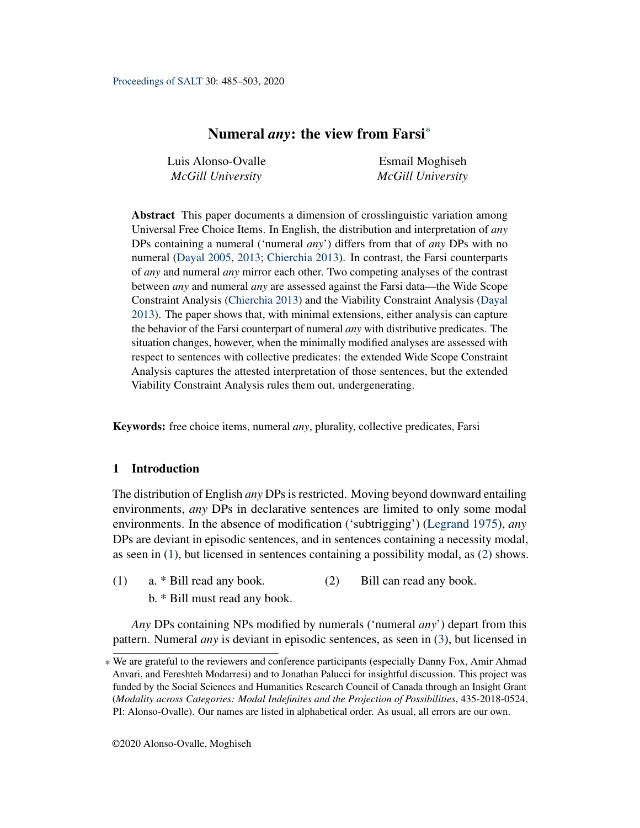<span id="page-0-2"></span>Luis Alonso-Ovalle *McGill University*

Esmail Moghiseh *McGill University*

Abstract This paper documents a dimension of crosslinguistic variation among Universal Free Choice Items. In English, the distribution and interpretation of *any* DPs containing a numeral ('numeral *any*') differs from that of *any* DPs with no numeral [\(Dayal](#page-18-0) [2005,](#page-18-0) [2013;](#page-18-1) [Chierchia](#page-18-2) [2013\)](#page-18-2). In contrast, the Farsi counterparts of *any* and numeral *any* mirror each other. Two competing analyses of the contrast between *any* and numeral *any* are assessed against the Farsi data—the Wide Scope Constraint Analysis [\(Chierchia](#page-18-2) [2013\)](#page-18-2) and the Viability Constraint Analysis [\(Dayal](#page-18-1) [2013\)](#page-18-1). The paper shows that, with minimal extensions, either analysis can capture the behavior of the Farsi counterpart of numeral *any* with distributive predicates. The situation changes, however, when the minimally modified analyses are assessed with respect to sentences with collective predicates: the extended Wide Scope Constraint Analysis captures the attested interpretation of those sentences, but the extended Viability Constraint Analysis rules them out, undergenerating.

Keywords: free choice items, numeral *any*, plurality, collective predicates, Farsi

# 1 Introduction

The distribution of English *any* DPs is restricted. Moving beyond downward entailing environments, *any* DPs in declarative sentences are limited to only some modal environments. In the absence of modification ('subtrigging') [\(Legrand](#page-18-3) [1975\)](#page-18-3), *any* DPs are deviant in episodic sentences, and in sentences containing a necessity modal, as seen in [\(1\)](#page-0-0), but licensed in sentences containing a possibility modal, as [\(2\)](#page-0-1) shows.

<span id="page-0-1"></span><span id="page-0-0"></span>(1) a. \* Bill read any book. b. \* Bill must read any book. (2) Bill can read any book.

*Any* DPs containing NPs modified by numerals ('numeral *any*') depart from this pattern. Numeral *any* is deviant in episodic sentences, as seen in [\(3\)](#page-1-0), but licensed in

<sup>\*</sup> We are grateful to the reviewers and conference participants (especially Danny Fox, Amir Ahmad Anvari, and Fereshteh Modarresi) and to Jonathan Palucci for insightful discussion. This project was funded by the Social Sciences and Humanities Research Council of Canada through an Insight Grant (*Modality across Categories: Modal Indefinites and the Projection of Possibilities*, 435-2018-0524, PI: Alonso-Ovalle). Our names are listed in alphabetical order. As usual, all errors are our own.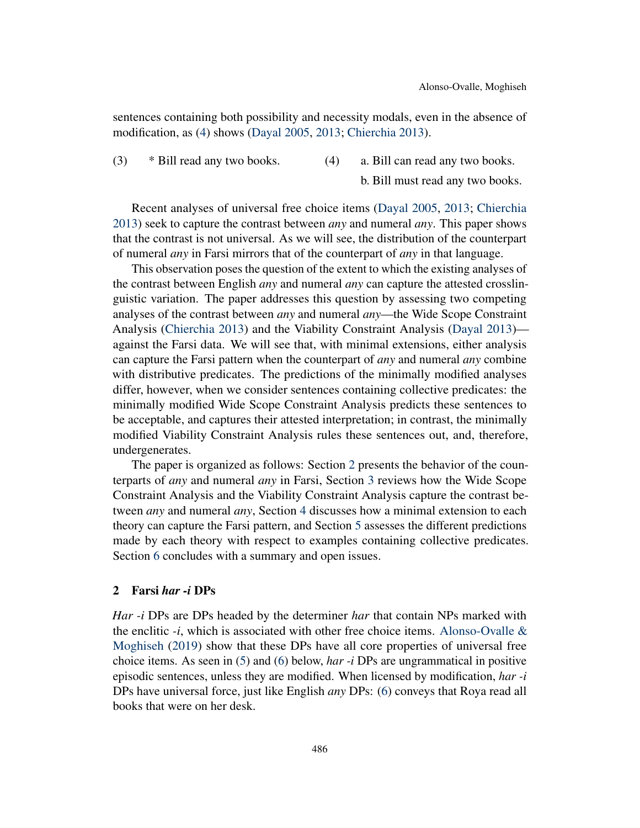sentences containing both possibility and necessity modals, even in the absence of modification, as [\(4\)](#page-1-1) shows [\(Dayal](#page-18-0) [2005,](#page-18-0) [2013;](#page-18-1) [Chierchia](#page-18-2) [2013\)](#page-18-2).

- <span id="page-1-3"></span><span id="page-1-1"></span><span id="page-1-0"></span>
- (3) \* Bill read any two books. (4) a. Bill can read any two books. b. Bill must read any two books.

Recent analyses of universal free choice items [\(Dayal](#page-18-0) [2005,](#page-18-0) [2013;](#page-18-1) [Chierchia](#page-18-2) [2013\)](#page-18-2) seek to capture the contrast between *any* and numeral *any*. This paper shows that the contrast is not universal. As we will see, the distribution of the counterpart of numeral *any* in Farsi mirrors that of the counterpart of *any* in that language.

This observation poses the question of the extent to which the existing analyses of the contrast between English *any* and numeral *any* can capture the attested crosslinguistic variation. The paper addresses this question by assessing two competing analyses of the contrast between *any* and numeral *any*—the Wide Scope Constraint Analysis [\(Chierchia](#page-18-2) [2013\)](#page-18-2) and the Viability Constraint Analysis [\(Dayal](#page-18-1) [2013\)](#page-18-1) against the Farsi data. We will see that, with minimal extensions, either analysis can capture the Farsi pattern when the counterpart of *any* and numeral *any* combine with distributive predicates. The predictions of the minimally modified analyses differ, however, when we consider sentences containing collective predicates: the minimally modified Wide Scope Constraint Analysis predicts these sentences to be acceptable, and captures their attested interpretation; in contrast, the minimally modified Viability Constraint Analysis rules these sentences out, and, therefore, undergenerates.

The paper is organized as follows: Section [2](#page-1-2) presents the behavior of the counterparts of *any* and numeral *any* in Farsi, Section [3](#page-3-0) reviews how the Wide Scope Constraint Analysis and the Viability Constraint Analysis capture the contrast between *any* and numeral *any*, Section [4](#page-13-0) discusses how a minimal extension to each theory can capture the Farsi pattern, and Section [5](#page-15-0) assesses the different predictions made by each theory with respect to examples containing collective predicates. Section [6](#page-17-0) concludes with a summary and open issues.

#### <span id="page-1-2"></span>2 Farsi *har -i* DPs

*Har -i* DPs are DPs headed by the determiner *har* that contain NPs marked with the enclitic  $-i$ , which is associated with other free choice items. Alonso-Ovalle  $\&$ [Moghiseh](#page-18-4) [\(2019\)](#page-18-4) show that these DPs have all core properties of universal free choice items. As seen in [\(5\)](#page-2-0) and [\(6\)](#page-2-1) below, *har -i* DPs are ungrammatical in positive episodic sentences, unless they are modified. When licensed by modification, *har -i* DPs have universal force, just like English *any* DPs: [\(6\)](#page-2-1) conveys that Roya read all books that were on her desk.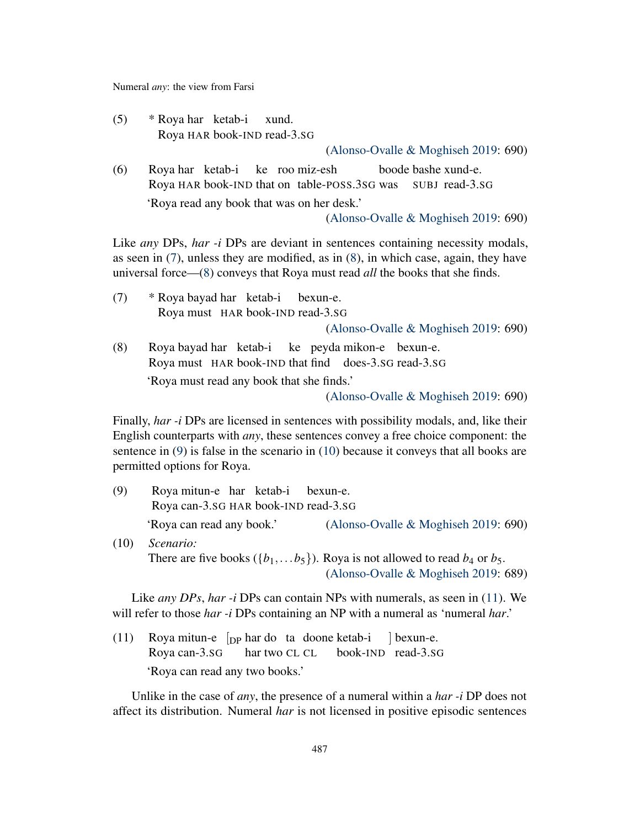<span id="page-2-0"></span>(5) \* Roya har ketab-i Roya HAR book-IND read-3.SG xund.

[\(Alonso-Ovalle & Moghiseh](#page-18-4) [2019:](#page-18-4) 690)

<span id="page-2-1"></span>(6) Roya har ketab-i Roya HAR book-IND that on table-POSS.3SG was SUBJ read-3.SG ke roo miz-esh boode bashe xund-e. 'Roya read any book that was on her desk.' [\(Alonso-Ovalle & Moghiseh](#page-18-4) [2019:](#page-18-4) 690)

Like *any* DPs, *har -i* DPs are deviant in sentences containing necessity modals, as seen in [\(7\)](#page-2-2), unless they are modified, as in [\(8\)](#page-2-3), in which case, again, they have universal force—[\(8\)](#page-2-3) conveys that Roya must read *all* the books that she finds.

- <span id="page-2-2"></span>(7) \* Roya bayad har ketab-i Roya must HAR book-IND read-3.SG bexun-e. [\(Alonso-Ovalle & Moghiseh](#page-18-4) [2019:](#page-18-4) 690) (8) Roya bayad har ketab-i ke peyda mikon-e bexun-e.
- <span id="page-2-3"></span>Roya must HAR book-IND that find does-3.SG read-3.SG 'Roya must read any book that she finds.'

[\(Alonso-Ovalle & Moghiseh](#page-18-4) [2019:](#page-18-4) 690)

Finally, *har -i* DPs are licensed in sentences with possibility modals, and, like their English counterparts with *any*, these sentences convey a free choice component: the sentence in [\(9\)](#page-2-4) is false in the scenario in [\(10\)](#page-2-5) because it conveys that all books are permitted options for Roya.

<span id="page-2-4"></span>

| (9)  | Roya mitun-e har ketab-i bexun-e.    |                                      |
|------|--------------------------------------|--------------------------------------|
|      | Roya can-3.sG HAR book-IND read-3.sG |                                      |
|      | 'Roya can read any book.'            | (Alonso-Ovalle & Moghiseh 2019: 690) |
| (10) | Scenario:                            |                                      |

<span id="page-2-5"></span>There are five books ( $\{b_1,...b_5\}$ ). Roya is not allowed to read  $b_4$  or  $b_5$ . [\(Alonso-Ovalle & Moghiseh](#page-18-4) [2019:](#page-18-4) 689)

Like *any DPs*, *har -i* DPs can contain NPs with numerals, as seen in [\(11\)](#page-2-6). We will refer to those *har -i* DPs containing an NP with a numeral as 'numeral *har*.'

<span id="page-2-6"></span>(11) Roya mitun-e [DP har do ta doone ketab-i Roya can-3.SG har two CL CL book-IND read-3.SG ] bexun-e. 'Roya can read any two books.'

Unlike in the case of *any*, the presence of a numeral within a *har -i* DP does not affect its distribution. Numeral *har* is not licensed in positive episodic sentences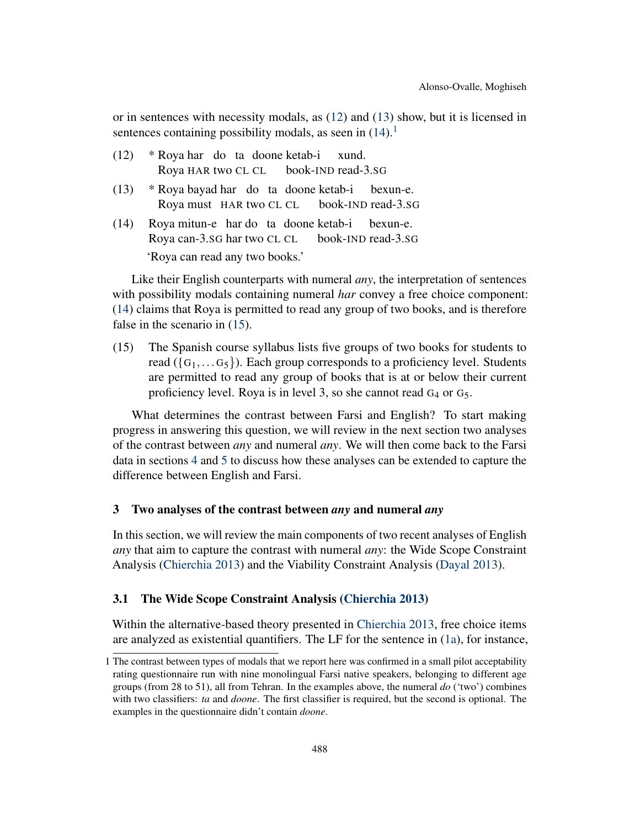or in sentences with necessity modals, as [\(12\)](#page-3-1) and [\(13\)](#page-3-2) show, but it is licensed in sentences containing possibility modals, as seen in  $(14)$ .<sup>[1](#page-0-2)</sup>

- <span id="page-3-1"></span>(12) \* Roya har do ta doone ketab-i Roya HAR two CL CL book-IND read-3.SG xund.
- <span id="page-3-2"></span>(13) \* Roya bayad har do ta doone ketab-i Roya must HAR two CL CL book-IND read-3.SG bexun-e.
- <span id="page-3-3"></span> $(14)$ Roya can-3.SG har two CL CL mitun-e har do ta doone ketab-i book-IND read-3.SG bexun-e. 'Roya can read any two books.'

Like their English counterparts with numeral *any*, the interpretation of sentences with possibility modals containing numeral *har* convey a free choice component: [\(14\)](#page-3-3) claims that Roya is permitted to read any group of two books, and is therefore false in the scenario in [\(15\)](#page-3-4).

<span id="page-3-4"></span>(15) The Spanish course syllabus lists five groups of two books for students to read ( $\{G_1,...,G_5\}$ ). Each group corresponds to a proficiency level. Students are permitted to read any group of books that is at or below their current proficiency level. Roya is in level 3, so she cannot read  $G_4$  or  $G_5$ .

What determines the contrast between Farsi and English? To start making progress in answering this question, we will review in the next section two analyses of the contrast between *any* and numeral *any*. We will then come back to the Farsi data in sections [4](#page-13-0) and [5](#page-15-0) to discuss how these analyses can be extended to capture the difference between English and Farsi.

### <span id="page-3-0"></span>3 Two analyses of the contrast between *any* and numeral *any*

In this section, we will review the main components of two recent analyses of English *any* that aim to capture the contrast with numeral *any*: the Wide Scope Constraint Analysis [\(Chierchia](#page-18-2) [2013\)](#page-18-2) and the Viability Constraint Analysis [\(Dayal](#page-18-1) [2013\)](#page-18-1).

### <span id="page-3-5"></span>3.1 The Wide Scope Constraint Analysis [\(Chierchia](#page-18-2) [2013\)](#page-18-2)

Within the alternative-based theory presented in [Chierchia](#page-18-2) [2013,](#page-18-2) free choice items are analyzed as existential quantifiers. The LF for the sentence in [\(1a\)](#page-0-0), for instance,

<sup>1</sup> The contrast between types of modals that we report here was confirmed in a small pilot acceptability rating questionnaire run with nine monolingual Farsi native speakers, belonging to different age groups (from 28 to 51), all from Tehran. In the examples above, the numeral *do* ('two') combines with two classifiers: *ta* and *doone*. The first classifier is required, but the second is optional. The examples in the questionnaire didn't contain *doone*.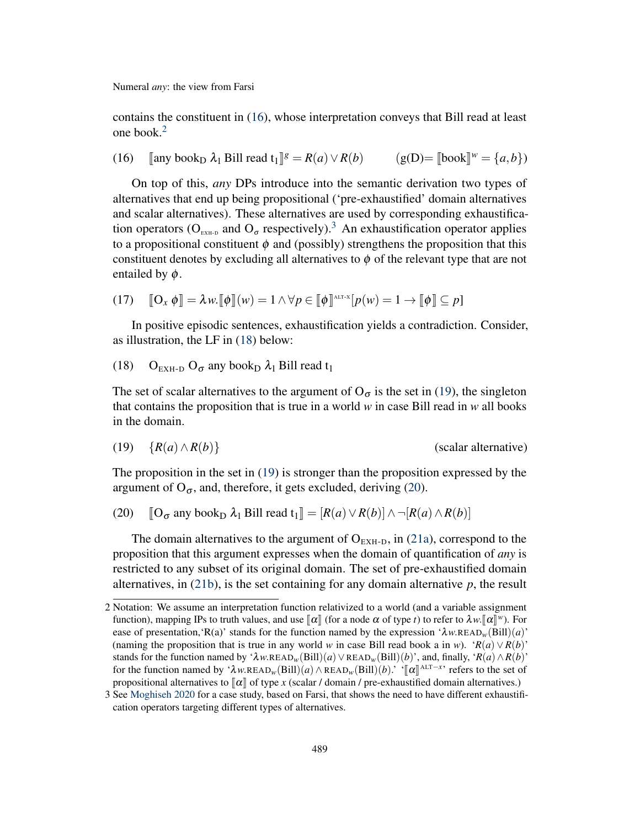contains the constituent in [\(16\)](#page-4-0), whose interpretation conveys that Bill read at least one book.[2](#page-0-2)

<span id="page-4-0"></span>(16) 
$$
\text{[any book}_D \ \lambda_1 \ \text{Bill read } t_1 \text{]}^g = R(a) \lor R(b) \qquad (g(D) = \text{[book]}\n\text{]}^w = \{a, b\}
$$

On top of this, *any* DPs introduce into the semantic derivation two types of alternatives that end up being propositional ('pre-exhaustified' domain alternatives and scalar alternatives). These alternatives are used by corresponding exhaustification operators ( $O_{E X H-D}$  and  $O_{\sigma}$  respectively).<sup>[3](#page-0-2)</sup> An exhaustification operator applies to a propositional constituent  $\phi$  and (possibly) strengthens the proposition that this constituent denotes by excluding all alternatives to  $\phi$  of the relevant type that are not entailed by  $\phi$ .

(17) 
$$
\llbracket \mathbf{O}_x \; \phi \rrbracket = \lambda w. \llbracket \phi \rrbracket(w) = 1 \land \forall p \in \llbracket \phi \rrbracket^{\text{attr-x}} [p(w) = 1 \to \llbracket \phi \rrbracket \subseteq p]
$$

In positive episodic sentences, exhaustification yields a contradiction. Consider, as illustration, the LF in [\(18\)](#page-4-1) below:

<span id="page-4-1"></span>(18)  $O_{EXH-D} O_{\sigma}$  any book<sub>D</sub>  $\lambda_1$  Bill read t<sub>1</sub>

The set of scalar alternatives to the argument of  $O_{\sigma}$  is the set in [\(19\)](#page-4-2), the singleton that contains the proposition that is true in a world  $w$  in case Bill read in  $w$  all books in the domain.

<span id="page-4-2"></span>
$$
(19) \quad \{R(a) \land R(b)\} \tag{scalar alternative}
$$

The proposition in the set in [\(19\)](#page-4-2) is stronger than the proposition expressed by the argument of  $O_{\sigma}$ , and, therefore, it gets excluded, deriving [\(20\)](#page-4-3).

<span id="page-4-3"></span>(20)  $\left[ \n\begin{bmatrix} 0 \\ \sigma \end{bmatrix}$  any book<sub>D</sub>  $\lambda_1$  Bill read t<sub>1</sub> $\left[ = [R(a) \vee R(b)] \wedge \neg[R(a) \wedge R(b)] \right]$ 

The domain alternatives to the argument of  $O_{E X H-D}$ , in [\(21a\)](#page-5-0), correspond to the proposition that this argument expresses when the domain of quantification of *any* is restricted to any subset of its original domain. The set of pre-exhaustified domain alternatives, in  $(21b)$ , is the set containing for any domain alternative  $p$ , the result

<sup>2</sup> Notation: We assume an interpretation function relativized to a world (and a variable assignment function), mapping IPs to truth values, and use  $[\![\alpha]\!]$  (for a node  $\alpha$  of type *t*) to refer to  $\lambda w$ . $[\![\alpha]\!]^w$ ). For ease of presentation, 'R(a)' stands for the function named by the expression ' $\lambda w$ .READ<sub>*w*</sub>(Bill)(*a*)' (naming the proposition that is true in any world *w* in case Bill read book a in *w*). ' $R(a) \vee R(b)$ ' stands for the function named by ' $\lambda w \text{.READ}_w(Bill)(a) \vee \text{READ}_w(Bill)(b)$ ', and, finally, ' $R(a) \wedge R(b)$ ' for the function named by ' $\lambda w \text{.READ}_w(\text{Bill})(a) \wedge \text{READ}_w(\text{Bill})(b)$ .' ' $[\![\alpha]\!]^{\text{ALT}-x}$ ' refers to the set of propositional alternatives to  $\llbracket \alpha \rrbracket$  of type *x* (scalar / domain / pre-exhaustified domain alternatives.)

<sup>3</sup> See [Moghiseh](#page-18-5) [2020](#page-18-5) for a case study, based on Farsi, that shows the need to have different exhaustification operators targeting different types of alternatives.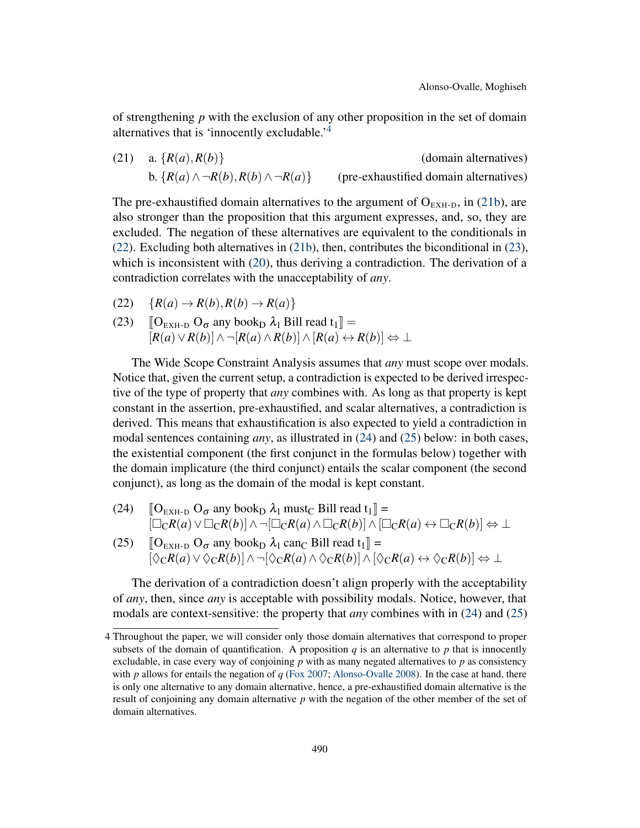of strengthening *p* with the exclusion of any other proposition in the set of domain alternatives that is 'innocently excludable.'[4](#page-0-2)

<span id="page-5-1"></span><span id="page-5-0"></span>(21) a.  $\{R(a), R(b)\}$  (domain alternatives) b.  ${R(a) \land \neg R(b), R(b) \land \neg R(a)}$  (pre-exhaustified domain alternatives)

The pre-exhaustified domain alternatives to the argument of  $O_{E X H-D}$ , in [\(21b\)](#page-5-1), are also stronger than the proposition that this argument expresses, and, so, they are excluded. The negation of these alternatives are equivalent to the conditionals in [\(22\)](#page-5-2). Excluding both alternatives in [\(21b\)](#page-5-1), then, contributes the biconditional in [\(23\)](#page-5-3), which is inconsistent with [\(20\)](#page-4-3), thus deriving a contradiction. The derivation of a contradiction correlates with the unacceptability of *any*.

- <span id="page-5-2"></span> $(22)$  {*R*(*a*)  $\rightarrow$  *R*(*b*),*R*(*b*)  $\rightarrow$  *R*(*a*)}
- <span id="page-5-3"></span>(23)  $\mathbb{I}$ O<sub>EXH-D</sub> O<sub> $\sigma$ </sub> any book<sub>D</sub>  $\lambda_1$  Bill read t<sub>1</sub> $\mathbb{I}$  =  $[R(a) \vee R(b)] \wedge \neg[R(a) \wedge R(b)] \wedge [R(a) \leftrightarrow R(b)] \Leftrightarrow \bot$

The Wide Scope Constraint Analysis assumes that *any* must scope over modals. Notice that, given the current setup, a contradiction is expected to be derived irrespective of the type of property that *any* combines with. As long as that property is kept constant in the assertion, pre-exhaustified, and scalar alternatives, a contradiction is derived. This means that exhaustification is also expected to yield a contradiction in modal sentences containing *any*, as illustrated in [\(24\)](#page-5-4) and [\(25\)](#page-5-5) below: in both cases, the existential component (the first conjunct in the formulas below) together with the domain implicature (the third conjunct) entails the scalar component (the second conjunct), as long as the domain of the modal is kept constant.

- <span id="page-5-4"></span>(24)  $\big[\n\big] \big[ O_{EXH-D} O_{\sigma}$  any book<sub>D</sub>  $\lambda_1$  must<sub>C</sub> Bill read t<sub>1</sub> $\big] =$ [C*R*(*a*)∨C*R*(*b*)]∧ ¬[C*R*(*a*)∧C*R*(*b*)]∧[C*R*(*a*) ↔ C*R*(*b*)] ⇔ ⊥
- <span id="page-5-5"></span>(25)  $\left[\right] \left[O_{\text{EXH-D}} O_{\sigma} \text{ any book}_{D} \lambda_{1} \text{ can}_{C} \text{ Bill read } t_{1}\right]$  =  $[\Diamond_{\mathbf{C}}R(a)\vee \Diamond_{\mathbf{C}}R(b)]\wedge\neg[\Diamond_{\mathbf{C}}R(a)\wedge \Diamond_{\mathbf{C}}R(b)]\wedge[\Diamond_{\mathbf{C}}R(a)\leftrightarrow \Diamond_{\mathbf{C}}R(b)]\Leftrightarrow \bot$

The derivation of a contradiction doesn't align properly with the acceptability of *any*, then, since *any* is acceptable with possibility modals. Notice, however, that modals are context-sensitive: the property that *any* combines with in [\(24\)](#page-5-4) and [\(25\)](#page-5-5)

<sup>4</sup> Throughout the paper, we will consider only those domain alternatives that correspond to proper subsets of the domain of quantification. A proposition  $q$  is an alternative to  $p$  that is innocently excludable, in case every way of conjoining *p* with as many negated alternatives to *p* as consistency with *p* allows for entails the negation of *q* [\(Fox](#page-18-6) [2007;](#page-18-6) [Alonso-Ovalle](#page-18-7) [2008\)](#page-18-7). In the case at hand, there is only one alternative to any domain alternative, hence, a pre-exhaustified domain alternative is the result of conjoining any domain alternative *p* with the negation of the other member of the set of domain alternatives.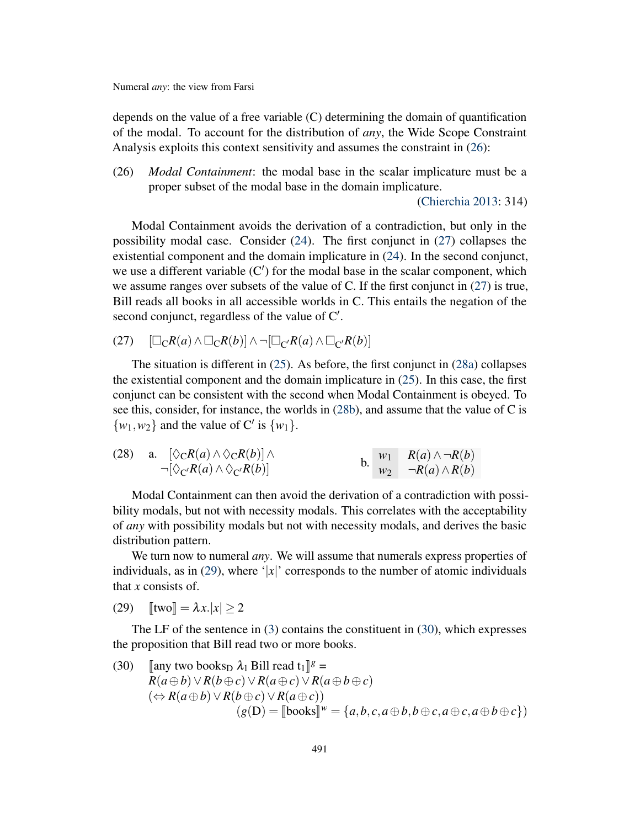depends on the value of a free variable (C) determining the domain of quantification of the modal. To account for the distribution of *any*, the Wide Scope Constraint Analysis exploits this context sensitivity and assumes the constraint in [\(26\)](#page-6-0):

<span id="page-6-0"></span>(26) *Modal Containment*: the modal base in the scalar implicature must be a proper subset of the modal base in the domain implicature.

[\(Chierchia](#page-18-2) [2013:](#page-18-2) 314)

Modal Containment avoids the derivation of a contradiction, but only in the possibility modal case. Consider [\(24\)](#page-5-4). The first conjunct in [\(27\)](#page-6-1) collapses the existential component and the domain implicature in [\(24\)](#page-5-4). In the second conjunct, we use a different variable  $(C')$  for the modal base in the scalar component, which we assume ranges over subsets of the value of C. If the first conjunct in [\(27\)](#page-6-1) is true, Bill reads all books in all accessible worlds in C. This entails the negation of the second conjunct, regardless of the value of  $C'$ .

<span id="page-6-1"></span> $(\Box_C R(a) \land \Box_C R(b)] \land \neg [\Box_{C'} R(a) \land \Box_{C'} R(b)]$ 

The situation is different in [\(25\)](#page-5-5). As before, the first conjunct in [\(28a\)](#page-6-2) collapses the existential component and the domain implicature in [\(25\)](#page-5-5). In this case, the first conjunct can be consistent with the second when Modal Containment is obeyed. To see this, consider, for instance, the worlds in [\(28b\)](#page-6-3), and assume that the value of C is  $\{w_1, w_2\}$  and the value of C' is  $\{w_1\}$ .

<span id="page-6-3"></span><span id="page-6-2"></span>(28) a. 
$$
\left[\diamondsuit_C R(a) \land \diamondsuit_C R(b)\right] \land
$$
  
\n $\neg \left[\diamondsuit_C R(a) \land \diamondsuit_C R(b)\right]$   
\nb.  $\begin{array}{ccc} w_1 & R(a) \land \neg R(b) \\ w_2 & \neg R(a) \land R(b) \end{array}$ 

Modal Containment can then avoid the derivation of a contradiction with possibility modals, but not with necessity modals. This correlates with the acceptability of *any* with possibility modals but not with necessity modals, and derives the basic distribution pattern.

We turn now to numeral *any*. We will assume that numerals express properties of individuals, as in [\(29\)](#page-6-4), where '| $x$ |' corresponds to the number of atomic individuals that *x* consists of.

<span id="page-6-4"></span>(29)  $\| \text{two} \| = \lambda x \cdot |x| \geq 2$ 

The LF of the sentence in [\(3\)](#page-1-0) contains the constituent in [\(30\)](#page-6-5), which expresses the proposition that Bill read two or more books.

<span id="page-6-5"></span>(30) 
$$
\begin{array}{ll}\n\text{[any two books}_D \ \lambda_1 \ \text{Bill read } t_1 \text{]}^g = \\
R(a \oplus b) \lor R(b \oplus c) \lor R(a \oplus c) \lor R(a \oplus b \oplus c) \\
(\Leftrightarrow R(a \oplus b) \lor R(b \oplus c) \lor R(a \oplus c)) \\
(g(D) = \llbracket \text{books} \rrbracket^w = \{a, b, c, a \oplus b, b \oplus c, a \oplus c, a \oplus b \oplus c\}\n\end{array}
$$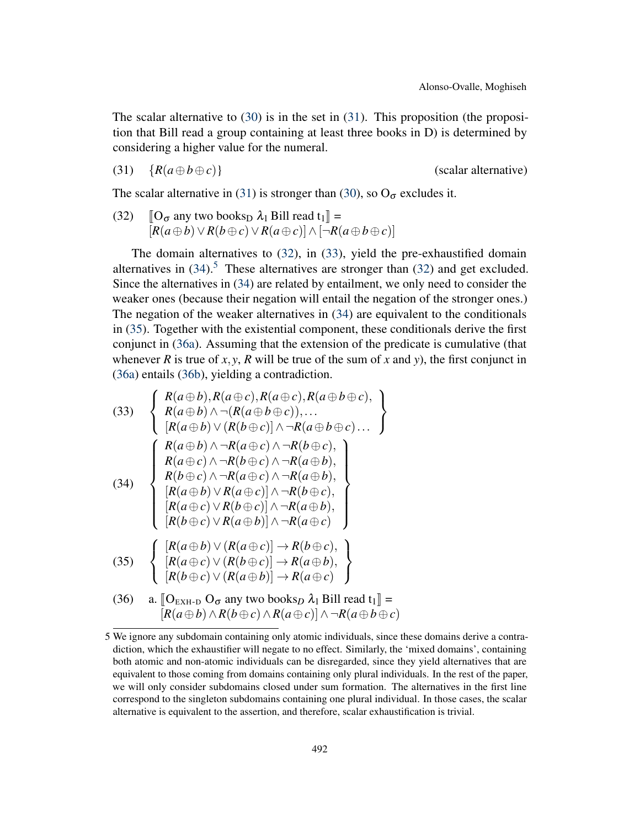The scalar alternative to  $(30)$  is in the set in  $(31)$ . This proposition (the proposition that Bill read a group containing at least three books in D) is determined by considering a higher value for the numeral.

<span id="page-7-0"></span>
$$
(31) \quad \{R(a \oplus b \oplus c)\}\
$$

(31) {*R*(*a*⊕*b*⊕*c*)} (scalar alternative)

The scalar alternative in [\(31\)](#page-7-0) is stronger than [\(30\)](#page-6-5), so  $O_{\sigma}$  excludes it.

<span id="page-7-1"></span>(32)  $\mathbb{I} \circ \sigma$  any two books<sub>D</sub>  $\lambda_1$  Bill read t<sub>1</sub> $\mathbb{I} =$ [*R*(*a*⊕*b*)∨*R*(*b*⊕*c*)∨*R*(*a*⊕*c*)]∧[¬*R*(*a*⊕*b*⊕*c*)]

The domain alternatives to [\(32\)](#page-7-1), in [\(33\)](#page-7-2), yield the pre-exhaustified domain alternatives in  $(34)$ <sup>[5](#page-0-2)</sup>. These alternatives are stronger than  $(32)$  and get excluded. Since the alternatives in [\(34\)](#page-7-3) are related by entailment, we only need to consider the weaker ones (because their negation will entail the negation of the stronger ones.) The negation of the weaker alternatives in [\(34\)](#page-7-3) are equivalent to the conditionals in [\(35\)](#page-7-4). Together with the existential component, these conditionals derive the first conjunct in [\(36a\)](#page-7-5). Assuming that the extension of the predicate is cumulative (that whenever *R* is true of *x*, *y*, *R* will be true of the sum of *x* and *y*), the first conjunct in [\(36a\)](#page-7-5) entails [\(36b\)](#page-8-0), yielding a contradiction.

<span id="page-7-3"></span><span id="page-7-2"></span>(33) 
$$
\begin{cases}\nR(a \oplus b), R(a \oplus c), R(a \oplus c), R(a \oplus b \oplus c), \\
R(a \oplus b) \land \neg(R(a \oplus b \oplus c)),... \\
[R(a \oplus b) \lor (R(b \oplus c)] \land \neg R(a \oplus b \oplus c)...]\n\end{cases}
$$
\n
$$
\begin{cases}\nR(a \oplus b) \land \neg R(a \oplus c) \land \neg R(a \oplus b \oplus c), \\
R(a \oplus c) \land \neg R(b \oplus c) \land \neg R(a \oplus b), \\
R(b \oplus c) \land \neg R(a \oplus c) \land \neg R(a \oplus b), \\
[R(a \oplus b) \lor R(a \oplus c)] \land \neg R(b \oplus c), \\
[R(a \oplus c) \lor R(b \oplus c)] \land \neg R(a \oplus b), \\
[R(b \oplus c) \lor R(a \oplus b)] \land \neg R(a \oplus c)\n\end{cases}
$$
\n(35) 
$$
\begin{cases}\n[R(a \oplus b) \lor (R(a \oplus c)] \land \neg R(a \oplus b), \\
[R(a \oplus c) \lor (R(b \oplus c)] \to R(b \oplus c), \\
[R(b \oplus c) \lor (R(a \oplus b)] \to R(a \oplus b), \\
[R(b \oplus c) \lor (R(a \oplus b)] \to R(a \oplus c)\n\end{cases}
$$
\n(36) a.  $[O_{\text{EXH-D}} O_{\sigma}$  any two books<sub>D</sub>  $\lambda_1$  Bill read  $t_1$ ] <sub>= [R(a \oplus b) \land R(b \oplus c) \land R(a \oplus c)] \land \neg R(a \oplus b \oplus c)\n\end{cases}</sub>

<span id="page-7-5"></span><span id="page-7-4"></span><sup>5</sup> We ignore any subdomain containing only atomic individuals, since these domains derive a contradiction, which the exhaustifier will negate to no effect. Similarly, the 'mixed domains', containing both atomic and non-atomic individuals can be disregarded, since they yield alternatives that are equivalent to those coming from domains containing only plural individuals. In the rest of the paper, we will only consider subdomains closed under sum formation. The alternatives in the first line correspond to the singleton subdomains containing one plural individual. In those cases, the scalar alternative is equivalent to the assertion, and therefore, scalar exhaustification is trivial.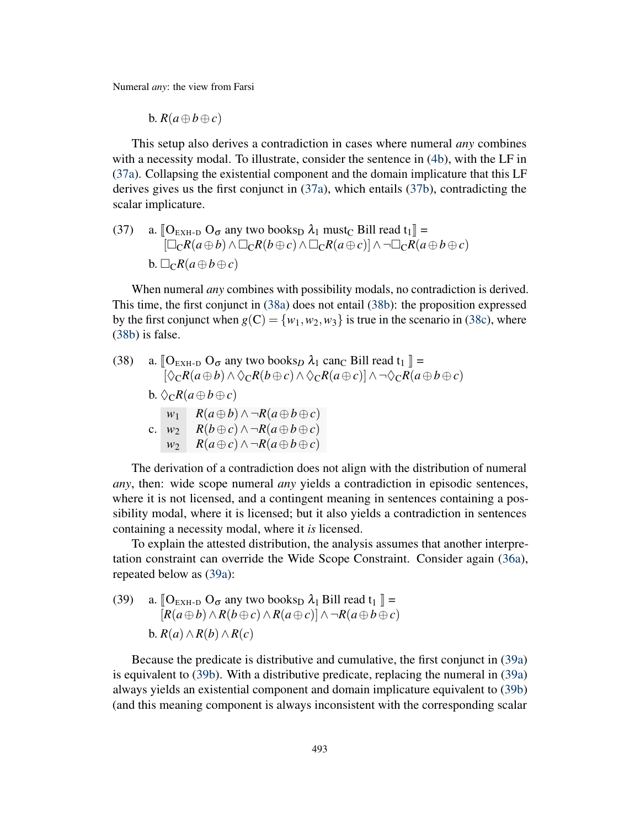**b.**  $R(a \oplus b \oplus c)$ 

<span id="page-8-0"></span>This setup also derives a contradiction in cases where numeral *any* combines with a necessity modal. To illustrate, consider the sentence in [\(4b\)](#page-1-3), with the LF in [\(37a\)](#page-8-1). Collapsing the existential component and the domain implicature that this LF derives gives us the first conjunct in [\(37a\)](#page-8-1), which entails [\(37b\)](#page-8-2), contradicting the scalar implicature.

<span id="page-8-2"></span><span id="page-8-1"></span>(37) a. 
$$
[O_{EXH-D} O_{\sigma}
$$
 any two books<sub>D</sub>  $\lambda_1$  must<sub>C</sub> Bill read  $t_1$ ] =  
\n $[\Box_C R(a \oplus b) \land \Box_C R(b \oplus c) \land \Box_C R(a \oplus c)] \land \neg \Box_C R(a \oplus b \oplus c)$   
\nb.  $\Box_C R(a \oplus b \oplus c)$ 

When numeral *any* combines with possibility modals, no contradiction is derived. This time, the first conjunct in [\(38a\)](#page-8-3) does not entail [\(38b\)](#page-8-4): the proposition expressed by the first conjunct when  $g(C) = \{w_1, w_2, w_3\}$  is true in the scenario in [\(38c\)](#page-8-5), where [\(38b\)](#page-8-4) is false.

<span id="page-8-5"></span><span id="page-8-4"></span><span id="page-8-3"></span>(38) a.  $\mathbb{I}_{O_{\text{EXH-D}}}$   $O_{\sigma}$  any two books<sub>*D*</sub>  $\lambda_1$  can<sub>C</sub> Bill read t<sub>1</sub>  $\mathbb{I}$  = [♦C*R*(*a*⊕*b*)∧♦C*R*(*b*⊕*c*)∧♦C*R*(*a*⊕*c*)]∧ ¬♦C*R*(*a*⊕*b*⊕*c*)  $b. \Diamond_C R(a \oplus b \oplus c)$ c. *w*<sup>2</sup> *R*(*b*⊕*c*)∧ ¬*R*(*a*⊕*b*⊕*c*) *w*<sub>1</sub> *R*(*a*⊕*b*)∧  $\neg R$ (*a*⊕*b*⊕*c*) *w*<sub>2</sub>  $R(a \oplus c) \wedge \neg R(a \oplus b \oplus c)$ 

The derivation of a contradiction does not align with the distribution of numeral *any*, then: wide scope numeral *any* yields a contradiction in episodic sentences, where it is not licensed, and a contingent meaning in sentences containing a possibility modal, where it is licensed; but it also yields a contradiction in sentences containing a necessity modal, where it *is* licensed.

To explain the attested distribution, the analysis assumes that another interpretation constraint can override the Wide Scope Constraint. Consider again [\(36a\)](#page-7-5), repeated below as [\(39a\)](#page-8-6):

<span id="page-8-7"></span><span id="page-8-6"></span>(39) a. 
$$
\begin{bmatrix} O_{\text{EXH-D}} & O_{\sigma} \text{ any two books}_{D} & \lambda_{1} \text{ Bill read } t_{1} \end{bmatrix} = [R(a \oplus b) \wedge R(b \oplus c) \wedge R(a \oplus c)] \wedge \neg R(a \oplus b \oplus c)
$$
  
b. 
$$
R(a) \wedge R(b) \wedge R(c)
$$

Because the predicate is distributive and cumulative, the first conjunct in [\(39a\)](#page-8-6) is equivalent to [\(39b\)](#page-8-7). With a distributive predicate, replacing the numeral in [\(39a\)](#page-8-6) always yields an existential component and domain implicature equivalent to [\(39b\)](#page-8-7) (and this meaning component is always inconsistent with the corresponding scalar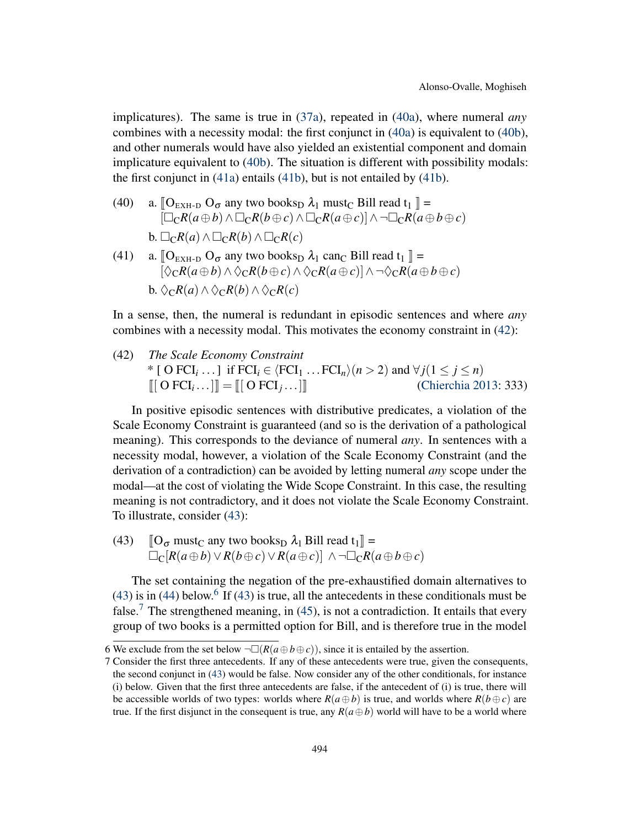implicatures). The same is true in [\(37a\)](#page-8-1), repeated in [\(40a\)](#page-9-0), where numeral *any* combines with a necessity modal: the first conjunct in [\(40a\)](#page-9-0) is equivalent to [\(40b\)](#page-9-1), and other numerals would have also yielded an existential component and domain implicature equivalent to [\(40b\)](#page-9-1). The situation is different with possibility modals: the first conjunct in [\(41a\)](#page-9-2) entails [\(41b\)](#page-9-3), but is not entailed by [\(41b\)](#page-9-3).

<span id="page-9-0"></span>(40) a. 
$$
\begin{aligned}\n\left[\mathbf{O}_{\text{EXH-D}} \mathbf{O}_{\sigma} \text{ any two books}_{\text{D}} \lambda_{1} \text{ must}_{\text{C}} \text{Bill read } t_{1}\right] &= \\
\left[\Box_{\text{C}}R(a \oplus b) \land \Box_{\text{C}}R(b \oplus c) \land \Box_{\text{C}}R(a \oplus c)\right] \land \neg \Box_{\text{C}}R(a \oplus b \oplus c) \\
\text{b. } \Box_{\text{C}}R(a) \land \Box_{\text{C}}R(b) \land \Box_{\text{C}}R(c)\n\end{aligned}
$$

<span id="page-9-3"></span><span id="page-9-2"></span><span id="page-9-1"></span>(41) a. 
$$
\begin{bmatrix} O_{\text{EXH-D}} & O_{\sigma} \text{ any two books}_{D} & \lambda_{1} \text{ can}_{C} \text{ Bill read } t_{1} \end{bmatrix} = \left[ \begin{array}{c} \Diamond_{C}R(a \oplus b) \land \Diamond_{C}R(b \oplus c) \land \Diamond_{C}R(a \oplus c) \end{array} \right] \land \neg \Diamond_{C}R(a \oplus b \oplus c)
$$
  
b. 
$$
\Diamond_{C}R(a) \land \Diamond_{C}R(b) \land \Diamond_{C}R(c)
$$

In a sense, then, the numeral is redundant in episodic sentences and where *any* combines with a necessity modal. This motivates the economy constraint in [\(42\)](#page-9-4):

<span id="page-9-4"></span>(42) *The Scale Economy Constraint* \* [ O FCI<sub>*i*</sub> ...] if FCI<sub>*i*</sub>  $\in$   $\langle$  FCI<sub>1</sub> ... FCI<sub>*n*</sub> $\rangle$ (*n* > 2) and  $\forall j$ (1  $\leq j \leq n$ )  $\llbracket \llbracket \mathbf{O} \mathbf{F} \mathbf{C} \mathbf{I}_i \ldots \rrbracket \rrbracket = \llbracket \llbracket \mathbf{O} \mathbf{F} \mathbf{C} \mathbf{I}_j$ [\(Chierchia](#page-18-2) [2013:](#page-18-2) 333)

In positive episodic sentences with distributive predicates, a violation of the Scale Economy Constraint is guaranteed (and so is the derivation of a pathological meaning). This corresponds to the deviance of numeral *any*. In sentences with a necessity modal, however, a violation of the Scale Economy Constraint (and the derivation of a contradiction) can be avoided by letting numeral *any* scope under the modal—at the cost of violating the Wide Scope Constraint. In this case, the resulting meaning is not contradictory, and it does not violate the Scale Economy Constraint. To illustrate, consider [\(43\)](#page-9-5):

<span id="page-9-5"></span>(43)  $\mathbb{I}[\mathsf{O}_{\sigma} \text{ must}_{\mathsf{C}} \text{ any two books}_{\mathsf{D}} \lambda_1 \text{ Bill read } t_1] =$  $\Box_C[R(a \oplus b) \lor R(b \oplus c) \lor R(a \oplus c)]$  ∧ ¬ $\Box_C R(a \oplus b \oplus c)$ 

The set containing the negation of the pre-exhaustified domain alternatives to  $(43)$  is in  $(44)$  below.<sup>[6](#page-0-2)</sup> If  $(43)$  is true, all the antecedents in these conditionals must be false.<sup>[7](#page-0-2)</sup> The strengthened meaning, in [\(45\)](#page-10-1), is not a contradiction. It entails that every group of two books is a permitted option for Bill, and is therefore true in the model

<sup>6</sup> We exclude from the set below  $\neg\Box(R(a \oplus b \oplus c))$ , since it is entailed by the assertion.

<sup>7</sup> Consider the first three antecedents. If any of these antecedents were true, given the consequents, the second conjunct in [\(43\)](#page-9-5) would be false. Now consider any of the other conditionals, for instance (i) below. Given that the first three antecedents are false, if the antecedent of (i) is true, there will be accessible worlds of two types: worlds where  $R(a \oplus b)$  is true, and worlds where  $R(b \oplus c)$  are true. If the first disjunct in the consequent is true, any  $R(a \oplus b)$  world will have to be a world where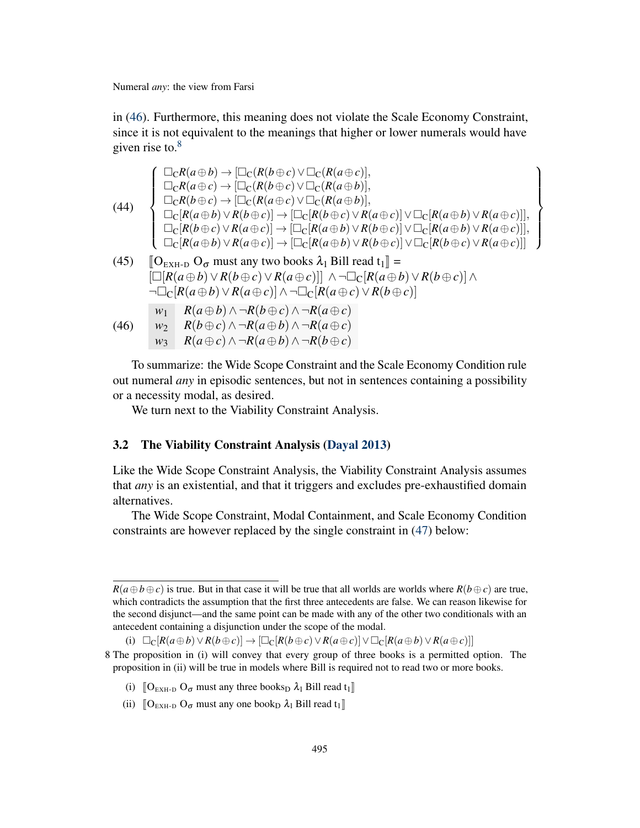in [\(46\)](#page-10-2). Furthermore, this meaning does not violate the Scale Economy Constraint, since it is not equivalent to the meanings that higher or lower numerals would have given rise to.<sup>[8](#page-0-2)</sup>

<span id="page-10-1"></span><span id="page-10-0"></span>(44)  
\n
$$
\begin{cases}\n\Box_{C}R(a \oplus b) \rightarrow [\Box_{C}(R(b \oplus c) \lor \Box_{C}(R(a \oplus c)],\\ \Box_{C}R(a \oplus c) \rightarrow [\Box_{C}(R(b \oplus c) \lor \Box_{C}(R(a \oplus b)],\\ \Box_{C}R(b \oplus c) \rightarrow [\Box_{C}(R(a \oplus c) \lor \Box_{C}(R(a \oplus b)),\\ \Box_{C}[R(a \oplus b) \lor R(b \oplus c)] \rightarrow [\Box_{C}[R(b \oplus c) \lor R(a \oplus c)] \lor \Box_{C}[R(a \oplus b) \lor R(a \oplus c)]],\\ \Box_{C}[R(b \oplus c) \lor R(a \oplus c)] \rightarrow [\Box_{C}[R(a \oplus b) \lor R(b \oplus c)] \lor \Box_{C}[R(a \oplus b) \lor R(a \oplus c)]],\\ \Box_{C}[R(a \oplus b) \lor R(a \oplus c)] \rightarrow [\Box_{C}[R(a \oplus b) \lor R(b \oplus c)] \lor \Box_{C}[R(b \oplus c) \lor R(a \oplus c)]]],\\ (45)\quad [\mathbf{O}_{EXH-D} \mathbf{O}_{\sigma} \text{ must any two books } \lambda_{1} \text{ Bill read } t_{1}] = [\Box[R(a \oplus b) \lor R(b \oplus c) \lor R(a \oplus c)] \land \neg \Box_{C}[R(a \oplus b) \lor R(b \oplus c)] \land \neg \Box_{C}[R(a \oplus b) \lor R(b \oplus c)]] \land \neg \Box_{C}[R(a \oplus b) \land \neg R(b \oplus c) \land \neg R(a \oplus c) \lor R(b \oplus c)]] \land \mathbf{P}_{C}[R(a \oplus b) \land \neg R(a \oplus b) \land \neg R(a \oplus c) \land \neg R(a \oplus b) \land \neg R(a \oplus b) \land \neg R(b \oplus c) \land \neg R(b \oplus c)]\n\end{cases}
$$

<span id="page-10-2"></span>To summarize: the Wide Scope Constraint and the Scale Economy Condition rule out numeral *any* in episodic sentences, but not in sentences containing a possibility or a necessity modal, as desired.

We turn next to the Viability Constraint Analysis.

# 3.2 The Viability Constraint Analysis [\(Dayal](#page-18-1) [2013\)](#page-18-1)

Like the Wide Scope Constraint Analysis, the Viability Constraint Analysis assumes that *any* is an existential, and that it triggers and excludes pre-exhaustified domain alternatives.

The Wide Scope Constraint, Modal Containment, and Scale Economy Condition constraints are however replaced by the single constraint in [\(47\)](#page-11-0) below:

(i)  $\Box_C[R(a \oplus b) \lor R(b \oplus c)] \rightarrow [\Box_C[R(b \oplus c) \lor R(a \oplus c)] \lor \Box_C[R(a \oplus b) \lor R(a \oplus c)]]$ 

- (i)  $\begin{bmatrix} O_{\text{EXH-D}} & O_{\sigma} \text{ must any three books}_{D} & \lambda_1 \text{ Bill read } t_1 \end{bmatrix}$
- (ii)  $\mathbb{I}$ O<sub>EXH-D</sub> O<sub> $\sigma$ </sub> must any one book<sub>D</sub>  $\lambda_1$  Bill read t<sub>1</sub> $\mathbb{I}$

 $R(a \oplus b \oplus c)$  is true. But in that case it will be true that all worlds are worlds where  $R(b \oplus c)$  are true, which contradicts the assumption that the first three antecedents are false. We can reason likewise for the second disjunct—and the same point can be made with any of the other two conditionals with an antecedent containing a disjunction under the scope of the modal.

<sup>8</sup> The proposition in (i) will convey that every group of three books is a permitted option. The proposition in (ii) will be true in models where Bill is required not to read two or more books.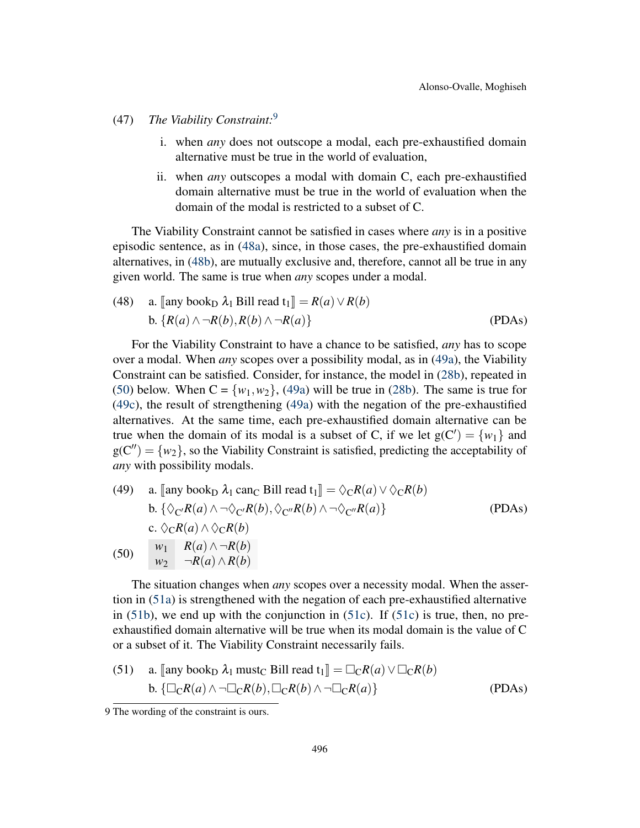# <span id="page-11-0"></span>(47) *The Viability Constraint:*[9](#page-0-2)

- i. when *any* does not outscope a modal, each pre-exhaustified domain alternative must be true in the world of evaluation,
- ii. when *any* outscopes a modal with domain C, each pre-exhaustified domain alternative must be true in the world of evaluation when the domain of the modal is restricted to a subset of C.

The Viability Constraint cannot be satisfied in cases where *any* is in a positive episodic sentence, as in [\(48a\)](#page-11-1), since, in those cases, the pre-exhaustified domain alternatives, in [\(48b\)](#page-11-2), are mutually exclusive and, therefore, cannot all be true in any given world. The same is true when *any* scopes under a modal.

<span id="page-11-2"></span><span id="page-11-1"></span>(48) a. [any book<sub>D</sub> 
$$
\lambda_1
$$
 Bill read  $t_1$ ] =  $R(a) \vee R(b)$   
b.  $\{R(a) \wedge \neg R(b), R(b) \wedge \neg R(a)\}$  (PDAs)

For the Viability Constraint to have a chance to be satisfied, *any* has to scope over a modal. When *any* scopes over a possibility modal, as in [\(49a\)](#page-11-3), the Viability Constraint can be satisfied. Consider, for instance, the model in [\(28b\)](#page-6-3), repeated in [\(50\)](#page-11-4) below. When  $C = \{w_1, w_2\}$ , [\(49a\)](#page-11-3) will be true in [\(28b\)](#page-6-3). The same is true for [\(49c\)](#page-11-5), the result of strengthening [\(49a\)](#page-11-3) with the negation of the pre-exhaustified alternatives. At the same time, each pre-exhaustified domain alternative can be true when the domain of its modal is a subset of C, if we let  $g(C') = \{w_1\}$  and  $g(C'') = \{w_2\}$ , so the Viability Constraint is satisfied, predicting the acceptability of *any* with possibility modals.

<span id="page-11-5"></span><span id="page-11-3"></span>(49) a. [any book<sub>D</sub> 
$$
\lambda_1
$$
 can<sub>C</sub> Bill read  $t_1$ ] =  $\Diamond_C R(a) \lor \Diamond_C R(b)$   
\nb. { $\Diamond_{C'}R(a) \land \neg \Diamond_{C'}R(b), \Diamond_{C''}R(b) \land \neg \Diamond_{C''}R(a)$ }  
\nc.  $\Diamond_C R(a) \land \Diamond_C R(b)$   
\n(PDAs)  
\n $w_1$   $R(a) \land \neg R(b)$   
\n $w_2$   $\neg R(a) \land R(b)$ 

<span id="page-11-4"></span>The situation changes when *any* scopes over a necessity modal. When the assertion in [\(51a\)](#page-11-6) is strengthened with the negation of each pre-exhaustified alternative in [\(51b\)](#page-11-7), we end up with the conjunction in [\(51c\)](#page-12-0). If [\(51c\)](#page-12-0) is true, then, no preexhaustified domain alternative will be true when its modal domain is the value of C or a subset of it. The Viability Constraint necessarily fails.

<span id="page-11-7"></span><span id="page-11-6"></span>(51) a. [any book<sub>D</sub> 
$$
\lambda_1
$$
 must<sub>C</sub> Bill read  $t_1$ ] =  $\Box_C R(a) \lor \Box_C R(b)$   
b. { $\Box_C R(a) \land \neg \Box_C R(b), \Box_C R(b) \land \neg \Box_C R(a)$ } (PDAs)

<sup>9</sup> The wording of the constraint is ours.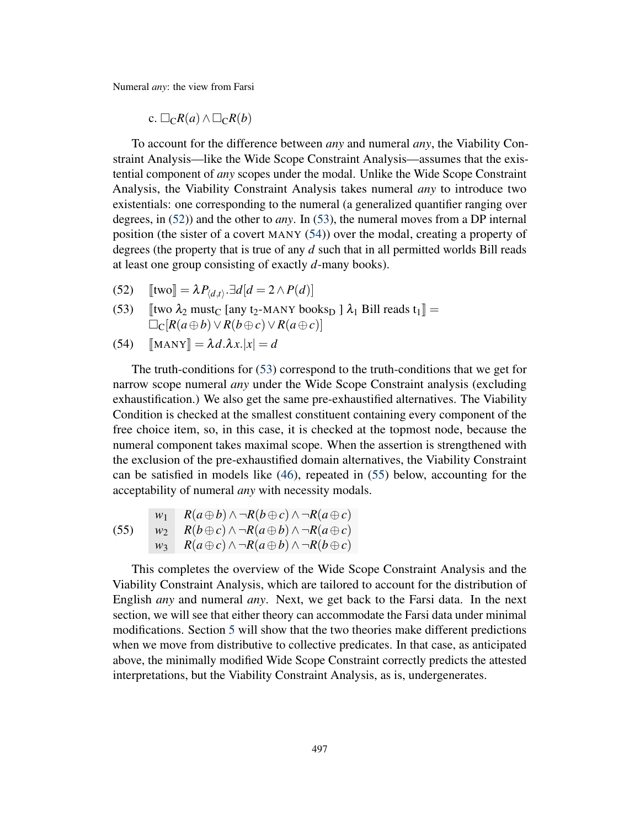c.  $□$ *CR*(*a*) ∧ $□$ *CR*(*b*)

<span id="page-12-0"></span>To account for the difference between *any* and numeral *any*, the Viability Constraint Analysis—like the Wide Scope Constraint Analysis—assumes that the existential component of *any* scopes under the modal. Unlike the Wide Scope Constraint Analysis, the Viability Constraint Analysis takes numeral *any* to introduce two existentials: one corresponding to the numeral (a generalized quantifier ranging over degrees, in [\(52\)](#page-12-1)) and the other to *any*. In [\(53\)](#page-12-2), the numeral moves from a DP internal position (the sister of a covert MANY [\(54\)](#page-12-3)) over the modal, creating a property of degrees (the property that is true of any *d* such that in all permitted worlds Bill reads at least one group consisting of exactly *d*-many books).

- <span id="page-12-1"></span> $[\text{two}] = \lambda P_{\langle d,t \rangle} \cdot \exists d[d = 2 \wedge P(d)]$
- <span id="page-12-2"></span>(53)  $\left[\text{two } \lambda_2 \text{ must}_{\text{C}} \left[\text{any } t_2\text{-MANY books}_{\text{D}} \right] \lambda_1 \text{ Bill reads } t_1\right] =$  $\Box_C[R(a \oplus b) \vee R(b \oplus c) \vee R(a \oplus c)]$
- <span id="page-12-3"></span> $(54)$   $[\text{MANY}] = \lambda d.\lambda x.|x| = d$

The truth-conditions for [\(53\)](#page-12-2) correspond to the truth-conditions that we get for narrow scope numeral *any* under the Wide Scope Constraint analysis (excluding exhaustification.) We also get the same pre-exhaustified alternatives. The Viability Condition is checked at the smallest constituent containing every component of the free choice item, so, in this case, it is checked at the topmost node, because the numeral component takes maximal scope. When the assertion is strengthened with the exclusion of the pre-exhaustified domain alternatives, the Viability Constraint can be satisfied in models like [\(46\)](#page-10-2), repeated in [\(55\)](#page-12-4) below, accounting for the acceptability of numeral *any* with necessity modals.

<span id="page-12-4"></span>(55) 
$$
w_1 R(a \oplus b) \wedge \neg R(b \oplus c) \wedge \neg R(a \oplus c)
$$

$$
w_2 R(b \oplus c) \wedge \neg R(a \oplus b) \wedge \neg R(a \oplus c)
$$

$$
w_3 R(a \oplus c) \wedge \neg R(a \oplus b) \wedge \neg R(b \oplus c)
$$

This completes the overview of the Wide Scope Constraint Analysis and the Viability Constraint Analysis, which are tailored to account for the distribution of English *any* and numeral *any*. Next, we get back to the Farsi data. In the next section, we will see that either theory can accommodate the Farsi data under minimal modifications. Section [5](#page-15-0) will show that the two theories make different predictions when we move from distributive to collective predicates. In that case, as anticipated above, the minimally modified Wide Scope Constraint correctly predicts the attested interpretations, but the Viability Constraint Analysis, as is, undergenerates.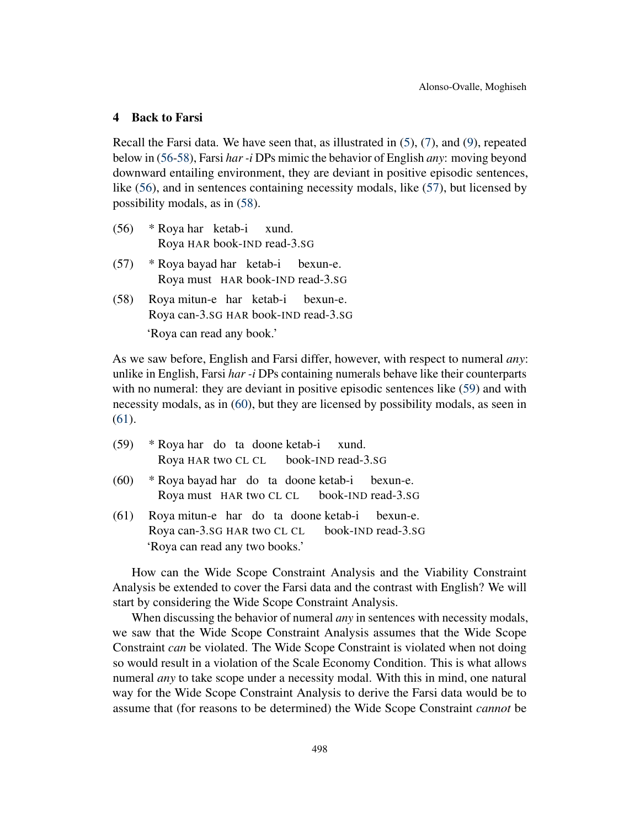## <span id="page-13-0"></span>4 Back to Farsi

Recall the Farsi data. We have seen that, as illustrated in  $(5)$ ,  $(7)$ , and  $(9)$ , repeated below in [\(56-](#page-13-1)[58\)](#page-13-2), Farsi *har -i* DPs mimic the behavior of English *any*: moving beyond downward entailing environment, they are deviant in positive episodic sentences, like [\(56\)](#page-13-1), and in sentences containing necessity modals, like [\(57\)](#page-13-3), but licensed by possibility modals, as in [\(58\)](#page-13-2).

- <span id="page-13-1"></span>(56) \* Roya har ketab-i Roya HAR book-IND read-3.SG xund.
- <span id="page-13-3"></span>(57) \* Roya bayad har ketab-i Roya must HAR book-IND read-3.SG bexun-e.
- <span id="page-13-2"></span>(58) Roya mitun-e har ketab-i Roya can-3.SG HAR book-IND read-3.SG bexun-e. 'Roya can read any book.'

As we saw before, English and Farsi differ, however, with respect to numeral *any*: unlike in English, Farsi *har -i* DPs containing numerals behave like their counterparts with no numeral: they are deviant in positive episodic sentences like [\(59\)](#page-13-4) and with necessity modals, as in [\(60\)](#page-13-5), but they are licensed by possibility modals, as seen in [\(61\)](#page-13-6).

- <span id="page-13-4"></span>(59) \* Roya har do ta doone ketab-i Roya HAR two CL CL book-IND read-3.SG xund.
- <span id="page-13-5"></span>(60) \* Roya bayad har do ta doone ketab-i Roya must HAR two CL CL book-IND read-3.SG bexun-e.
- <span id="page-13-6"></span>(61) Roya mitun-e har do ta doone ketab-i Roya can-3.SG HAR two CL CL book-IND read-3.SG bexun-e. 'Roya can read any two books.'

How can the Wide Scope Constraint Analysis and the Viability Constraint Analysis be extended to cover the Farsi data and the contrast with English? We will start by considering the Wide Scope Constraint Analysis.

When discussing the behavior of numeral *any* in sentences with necessity modals, we saw that the Wide Scope Constraint Analysis assumes that the Wide Scope Constraint *can* be violated. The Wide Scope Constraint is violated when not doing so would result in a violation of the Scale Economy Condition. This is what allows numeral *any* to take scope under a necessity modal. With this in mind, one natural way for the Wide Scope Constraint Analysis to derive the Farsi data would be to assume that (for reasons to be determined) the Wide Scope Constraint *cannot* be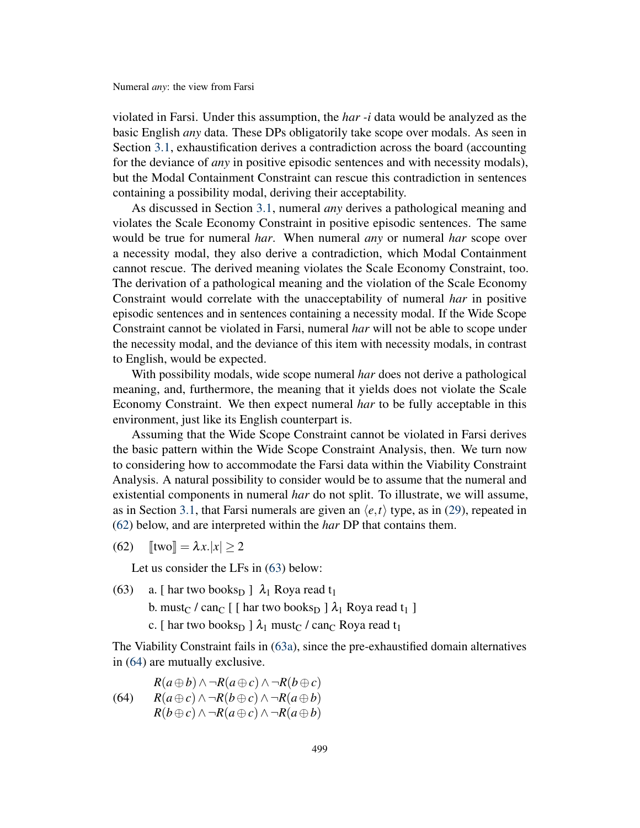violated in Farsi. Under this assumption, the *har -i* data would be analyzed as the basic English *any* data. These DPs obligatorily take scope over modals. As seen in Section [3.1,](#page-3-5) exhaustification derives a contradiction across the board (accounting for the deviance of *any* in positive episodic sentences and with necessity modals), but the Modal Containment Constraint can rescue this contradiction in sentences containing a possibility modal, deriving their acceptability.

As discussed in Section [3.1,](#page-3-5) numeral *any* derives a pathological meaning and violates the Scale Economy Constraint in positive episodic sentences. The same would be true for numeral *har*. When numeral *any* or numeral *har* scope over a necessity modal, they also derive a contradiction, which Modal Containment cannot rescue. The derived meaning violates the Scale Economy Constraint, too. The derivation of a pathological meaning and the violation of the Scale Economy Constraint would correlate with the unacceptability of numeral *har* in positive episodic sentences and in sentences containing a necessity modal. If the Wide Scope Constraint cannot be violated in Farsi, numeral *har* will not be able to scope under the necessity modal, and the deviance of this item with necessity modals, in contrast to English, would be expected.

With possibility modals, wide scope numeral *har* does not derive a pathological meaning, and, furthermore, the meaning that it yields does not violate the Scale Economy Constraint. We then expect numeral *har* to be fully acceptable in this environment, just like its English counterpart is.

Assuming that the Wide Scope Constraint cannot be violated in Farsi derives the basic pattern within the Wide Scope Constraint Analysis, then. We turn now to considering how to accommodate the Farsi data within the Viability Constraint Analysis. A natural possibility to consider would be to assume that the numeral and existential components in numeral *har* do not split. To illustrate, we will assume, as in Section [3.1,](#page-3-5) that Farsi numerals are given an  $\langle e, t \rangle$  type, as in [\(29\)](#page-6-4), repeated in [\(62\)](#page-14-0) below, and are interpreted within the *har* DP that contains them.

<span id="page-14-0"></span>(62)  $\text{[two]} = \lambda x \cdot |x| > 2$ 

Let us consider the LFs in [\(63\)](#page-14-1) below:

<span id="page-14-3"></span><span id="page-14-1"></span>(63) a. [ har two books<sub>D</sub> ]  $\lambda_1$  Roya read t<sub>1</sub> b. must<sub>C</sub> / can<sub>C</sub> [ [ har two books<sub>D</sub> ]  $\lambda_1$  Roya read t<sub>1</sub> ] c. [ har two books<sub>D</sub> ]  $\lambda_1$  must<sub>C</sub> / can<sub>C</sub> Roya read t<sub>1</sub>

<span id="page-14-4"></span>The Viability Constraint fails in [\(63a\)](#page-14-1), since the pre-exhaustified domain alternatives in [\(64\)](#page-14-2) are mutually exclusive.

<span id="page-14-2"></span>(64) 
$$
R(a \oplus b) \wedge \neg R(a \oplus c) \wedge \neg R(b \oplus c)
$$

$$
R(a \oplus c) \wedge \neg R(b \oplus c) \wedge \neg R(a \oplus b)
$$

$$
R(b \oplus c) \wedge \neg R(a \oplus c) \wedge \neg R(a \oplus b)
$$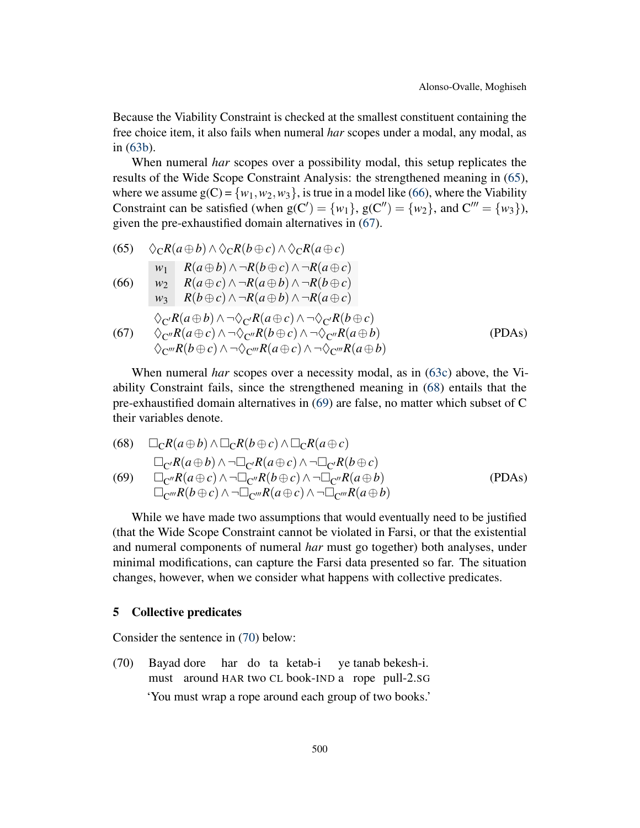Because the Viability Constraint is checked at the smallest constituent containing the free choice item, it also fails when numeral *har* scopes under a modal, any modal, as in [\(63b\)](#page-14-3).

When numeral *har* scopes over a possibility modal, this setup replicates the results of the Wide Scope Constraint Analysis: the strengthened meaning in [\(65\)](#page-15-1), where we assume  $g(C) = \{w_1, w_2, w_3\}$ , is true in a model like [\(66\)](#page-15-2), where the Viability Constraint can be satisfied (when  $g(C') = \{w_1\}$ ,  $g(C'') = \{w_2\}$ , and  $C''' = \{w_3\}$ ), given the pre-exhaustified domain alternatives in [\(67\)](#page-15-3).

<span id="page-15-2"></span><span id="page-15-1"></span>(65) 
$$
\begin{array}{ll}\n\Diamond_{\mathbb{C}}R(a \oplus b) \land \Diamond_{\mathbb{C}}R(b \oplus c) \land \Diamond_{\mathbb{C}}R(a \oplus c) \\
w_1 & R(a \oplus b) \land \neg R(b \oplus c) \land \neg R(a \oplus c) \\
w_2 & R(a \oplus c) \land \neg R(a \oplus b) \land \neg R(b \oplus c) \\
w_3 & R(b \oplus c) \land \neg R(a \oplus b) \land \neg R(a \oplus c) \\
\Diamond_{\mathbb{C}'}R(a \oplus b) \land \neg \Diamond_{\mathbb{C}'}R(a \oplus c) \land \neg \Diamond_{\mathbb{C}'}R(b \oplus c) \\
\Diamond_{\mathbb{C}''}R(a \oplus c) \land \neg \Diamond_{\mathbb{C}''}R(b \oplus c) \land \neg \Diamond_{\mathbb{C}''}R(a \oplus b) \\
\Diamond_{\mathbb{C}'''}R(b \oplus c) \land \neg \Diamond_{\mathbb{C}'''}R(a \oplus c) \land \neg \Diamond_{\mathbb{C}'''}R(a \oplus b)\n\end{array}
$$
 (PDAs)

<span id="page-15-3"></span>When numeral *har* scopes over a necessity modal, as in [\(63c\)](#page-14-4) above, the Viability Constraint fails, since the strengthened meaning in [\(68\)](#page-15-4) entails that the pre-exhaustified domain alternatives in [\(69\)](#page-15-5) are false, no matter which subset of C their variables denote.

<span id="page-15-5"></span><span id="page-15-4"></span>(68) 
$$
\Box_{\mathbb{C}}R(a \oplus b) \wedge \Box_{\mathbb{C}}R(b \oplus c) \wedge \Box_{\mathbb{C}}R(a \oplus c)
$$

$$
\Box_{\mathbb{C}'}R(a \oplus b) \wedge \neg \Box_{\mathbb{C}'}R(a \oplus c) \wedge \neg \Box_{\mathbb{C}'}R(b \oplus c)
$$

$$
\Box_{\mathbb{C}''}R(a \oplus c) \wedge \neg \Box_{\mathbb{C}''}R(b \oplus c) \wedge \neg \Box_{\mathbb{C}''}R(a \oplus b)
$$

$$
\Box_{\mathbb{C}'''}R(b \oplus c) \wedge \neg \Box_{\mathbb{C}'''}R(a \oplus c) \wedge \neg \Box_{\mathbb{C}'''}R(a \oplus b)
$$
(PDAs)

While we have made two assumptions that would eventually need to be justified (that the Wide Scope Constraint cannot be violated in Farsi, or that the existential and numeral components of numeral *har* must go together) both analyses, under minimal modifications, can capture the Farsi data presented so far. The situation changes, however, when we consider what happens with collective predicates.

### <span id="page-15-0"></span>5 Collective predicates

Consider the sentence in [\(70\)](#page-15-6) below:

<span id="page-15-6"></span>(70) Bayad dore must around HAR two CL book-IND a rope pull-2.SG har do ta ketab-i ye tanab bekesh-i. 'You must wrap a rope around each group of two books.'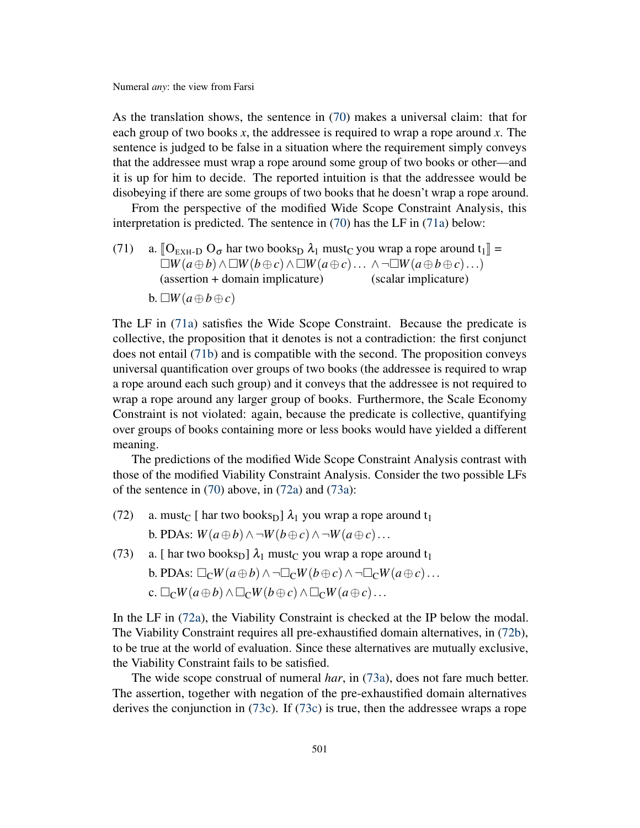As the translation shows, the sentence in [\(70\)](#page-15-6) makes a universal claim: that for each group of two books *x*, the addressee is required to wrap a rope around *x*. The sentence is judged to be false in a situation where the requirement simply conveys that the addressee must wrap a rope around some group of two books or other—and it is up for him to decide. The reported intuition is that the addressee would be disobeying if there are some groups of two books that he doesn't wrap a rope around.

From the perspective of the modified Wide Scope Constraint Analysis, this interpretation is predicted. The sentence in [\(70\)](#page-15-6) has the LF in [\(71a\)](#page-16-0) below:

<span id="page-16-0"></span>(71) a.  $[O_{EXH-D} O_{\sigma}$  har two books<sub>D</sub>  $\lambda_1$  must<sub>C</sub> you wrap a rope around t<sub>1</sub> $] =$  $\Box W(a \oplus b) \land \Box W(b \oplus c) \land \Box W(a \oplus c) \dots \land \neg \Box W(a \oplus b \oplus c) \dots$ (assertion + domain implicature) (scalar implicature)  $b. \Box W(a \oplus b \oplus c)$ 

<span id="page-16-1"></span>The LF in [\(71a\)](#page-16-0) satisfies the Wide Scope Constraint. Because the predicate is collective, the proposition that it denotes is not a contradiction: the first conjunct does not entail [\(71b\)](#page-16-1) and is compatible with the second. The proposition conveys universal quantification over groups of two books (the addressee is required to wrap a rope around each such group) and it conveys that the addressee is not required to wrap a rope around any larger group of books. Furthermore, the Scale Economy Constraint is not violated: again, because the predicate is collective, quantifying over groups of books containing more or less books would have yielded a different meaning.

The predictions of the modified Wide Scope Constraint Analysis contrast with those of the modified Viability Constraint Analysis. Consider the two possible LFs of the sentence in [\(70\)](#page-15-6) above, in [\(72a\)](#page-16-2) and [\(73a\)](#page-16-3):

- <span id="page-16-4"></span><span id="page-16-2"></span>(72) a. must<sub>C</sub> [ har two books<sub>D</sub>]  $\lambda_1$  you wrap a rope around t<sub>1</sub> **b.** PDAs:  $W(a \oplus b) \land \neg W(b \oplus c) \land \neg W(a \oplus c) \dots$
- <span id="page-16-3"></span>(73) a. [ har two books<sub>D</sub>]  $\lambda_1$  must<sub>C</sub> you wrap a rope around t<sub>1</sub>

**b.** PDAs:  $\Box_C W(a \oplus b) \land \neg \Box_C W(b \oplus c) \land \neg \Box_C W(a \oplus c) \dots$ c.  $\Box$ C*W*( $a \oplus b$ )∧ $\Box$ C*W*( $b \oplus c$ )∧ $\Box$ C*W*( $a \oplus c$ )...

<span id="page-16-5"></span>In the LF in [\(72a\)](#page-16-2), the Viability Constraint is checked at the IP below the modal. The Viability Constraint requires all pre-exhaustified domain alternatives, in [\(72b\)](#page-16-4), to be true at the world of evaluation. Since these alternatives are mutually exclusive, the Viability Constraint fails to be satisfied.

The wide scope construal of numeral *har*, in [\(73a\)](#page-16-3), does not fare much better. The assertion, together with negation of the pre-exhaustified domain alternatives derives the conjunction in [\(73c\)](#page-16-5). If [\(73c\)](#page-16-5) is true, then the addressee wraps a rope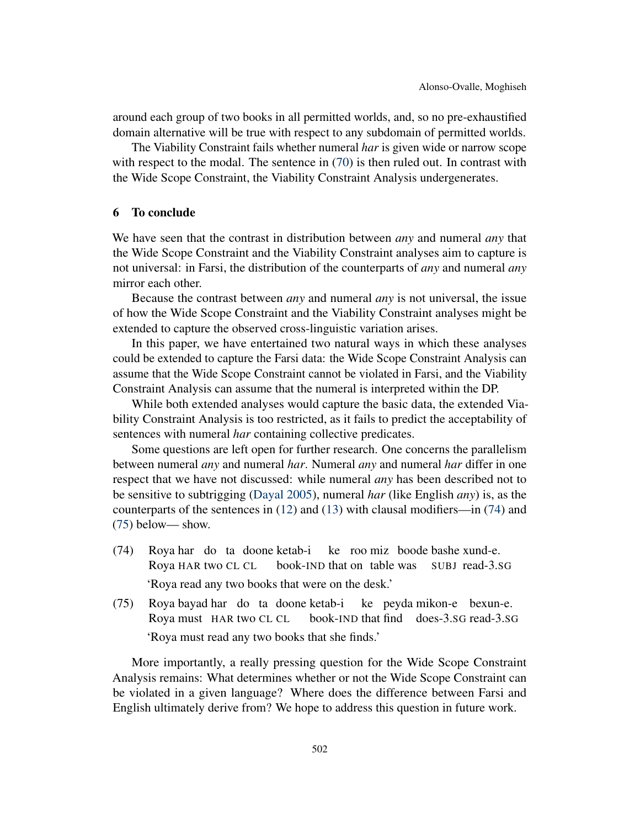around each group of two books in all permitted worlds, and, so no pre-exhaustified domain alternative will be true with respect to any subdomain of permitted worlds.

The Viability Constraint fails whether numeral *har* is given wide or narrow scope with respect to the modal. The sentence in  $(70)$  is then ruled out. In contrast with the Wide Scope Constraint, the Viability Constraint Analysis undergenerates.

## <span id="page-17-0"></span>6 To conclude

We have seen that the contrast in distribution between *any* and numeral *any* that the Wide Scope Constraint and the Viability Constraint analyses aim to capture is not universal: in Farsi, the distribution of the counterparts of *any* and numeral *any* mirror each other.

Because the contrast between *any* and numeral *any* is not universal, the issue of how the Wide Scope Constraint and the Viability Constraint analyses might be extended to capture the observed cross-linguistic variation arises.

In this paper, we have entertained two natural ways in which these analyses could be extended to capture the Farsi data: the Wide Scope Constraint Analysis can assume that the Wide Scope Constraint cannot be violated in Farsi, and the Viability Constraint Analysis can assume that the numeral is interpreted within the DP.

While both extended analyses would capture the basic data, the extended Viability Constraint Analysis is too restricted, as it fails to predict the acceptability of sentences with numeral *har* containing collective predicates.

Some questions are left open for further research. One concerns the parallelism between numeral *any* and numeral *har*. Numeral *any* and numeral *har* differ in one respect that we have not discussed: while numeral *any* has been described not to be sensitive to subtrigging [\(Dayal](#page-18-0) [2005\)](#page-18-0), numeral *har* (like English *any*) is, as the counterparts of the sentences in [\(12\)](#page-3-1) and [\(13\)](#page-3-2) with clausal modifiers—in [\(74\)](#page-17-1) and [\(75\)](#page-17-2) below— show.

- <span id="page-17-1"></span>(74) Roya har do ta doone ketab-i Roya HAR two CL CL book-IND that on table was ke roo miz boode bashe xund-e. SUBJ read-3.SG 'Roya read any two books that were on the desk.'
- <span id="page-17-2"></span> $(75)$ Roya must HAR two CL CL bayad har do ta doone ketab-i book-IND that find does-3.SG read-3.SG ke peyda mikon-e bexun-e. 'Roya must read any two books that she finds.'

More importantly, a really pressing question for the Wide Scope Constraint Analysis remains: What determines whether or not the Wide Scope Constraint can be violated in a given language? Where does the difference between Farsi and English ultimately derive from? We hope to address this question in future work.